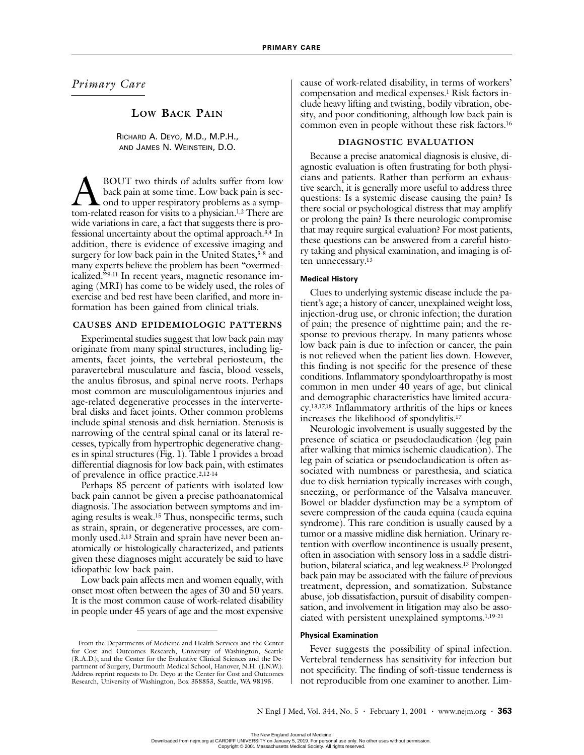*Primary Care*

# **LOW BACK PAIN**

RICHARD A. DEYO, M.D., M.P.H., AND JAMES N. WEINSTEIN, D.O.

BOUT two thirds of adults suffer from low back pain at some time. Low back pain is second to upper respiratory problems as a symp-BOUT two thirds of adults suffer from low<br>back pain at some time. Low back pain is sec-<br>ond to upper respiratory problems as a symp-<br>tom-related reason for visits to a physician.<sup>1,2</sup> There are wide variations in care, a fact that suggests there is professional uncertainty about the optimal approach.3,4 In addition, there is evidence of excessive imaging and surgery for low back pain in the United States,<sup>5-8</sup> and many experts believe the problem has been "overmedicalized."9-11 In recent years, magnetic resonance imaging (MRI) has come to be widely used, the roles of exercise and bed rest have been clarified, and more information has been gained from clinical trials.

# **CAUSES AND EPIDEMIOLOGIC PATTERNS**

Experimental studies suggest that low back pain may originate from many spinal structures, including ligaments, facet joints, the vertebral periosteum, the paravertebral musculature and fascia, blood vessels, the anulus fibrosus, and spinal nerve roots. Perhaps most common are musculoligamentous injuries and age-related degenerative processes in the intervertebral disks and facet joints. Other common problems include spinal stenosis and disk herniation. Stenosis is narrowing of the central spinal canal or its lateral recesses, typically from hypertrophic degenerative changes in spinal structures (Fig. 1). Table 1 provides a broad differential diagnosis for low back pain, with estimates of prevalence in office practice.2,12-14

Perhaps 85 percent of patients with isolated low back pain cannot be given a precise pathoanatomical diagnosis. The association between symptoms and imaging results is weak.15 Thus, nonspecific terms, such as strain, sprain, or degenerative processes, are commonly used.2,13 Strain and sprain have never been anatomically or histologically characterized, and patients given these diagnoses might accurately be said to have idiopathic low back pain.

Low back pain affects men and women equally, with onset most often between the ages of 30 and 50 years. It is the most common cause of work-related disability in people under 45 years of age and the most expensive

cause of work-related disability, in terms of workers' compensation and medical expenses.1 Risk factors include heavy lifting and twisting, bodily vibration, obesity, and poor conditioning, although low back pain is common even in people without these risk factors.16

# **DIAGNOSTIC EVALUATION**

Because a precise anatomical diagnosis is elusive, diagnostic evaluation is often frustrating for both physicians and patients. Rather than perform an exhaustive search, it is generally more useful to address three questions: Is a systemic disease causing the pain? Is there social or psychological distress that may amplify or prolong the pain? Is there neurologic compromise that may require surgical evaluation? For most patients, these questions can be answered from a careful history taking and physical examination, and imaging is often unnecessary.<sup>13</sup>

# **Medical History**

Clues to underlying systemic disease include the patient's age; a history of cancer, unexplained weight loss, injection-drug use, or chronic infection; the duration of pain; the presence of nighttime pain; and the response to previous therapy. In many patients whose low back pain is due to infection or cancer, the pain is not relieved when the patient lies down. However, this finding is not specific for the presence of these conditions. Inflammatory spondyloarthropathy is most common in men under 40 years of age, but clinical and demographic characteristics have limited accuracy.13,17,18 Inflammatory arthritis of the hips or knees increases the likelihood of spondylitis.17

Neurologic involvement is usually suggested by the presence of sciatica or pseudoclaudication (leg pain after walking that mimics ischemic claudication). The leg pain of sciatica or pseudoclaudication is often associated with numbness or paresthesia, and sciatica due to disk herniation typically increases with cough, sneezing, or performance of the Valsalva maneuver. Bowel or bladder dysfunction may be a symptom of severe compression of the cauda equina (cauda equina syndrome). This rare condition is usually caused by a tumor or a massive midline disk herniation. Urinary retention with overflow incontinence is usually present, often in association with sensory loss in a saddle distribution, bilateral sciatica, and leg weakness.13 Prolonged back pain may be associated with the failure of previous treatment, depression, and somatization. Substance abuse, job dissatisfaction, pursuit of disability compensation, and involvement in litigation may also be associated with persistent unexplained symptoms.1,19-21

### **Physical Examination**

Fever suggests the possibility of spinal infection. Vertebral tenderness has sensitivity for infection but not specificity. The finding of soft-tissue tenderness is not reproducible from one examiner to another. Lim-

From the Departments of Medicine and Health Services and the Center for Cost and Outcomes Research, University of Washington, Seattle (R.A.D.); and the Center for the Evaluative Clinical Sciences and the Department of Surgery, Dartmouth Medical School, Hanover, N.H. (J.N.W.). Address reprint requests to Dr. Deyo at the Center for Cost and Outcomes Research, University of Washington, Box 358853, Seattle, WA 98195.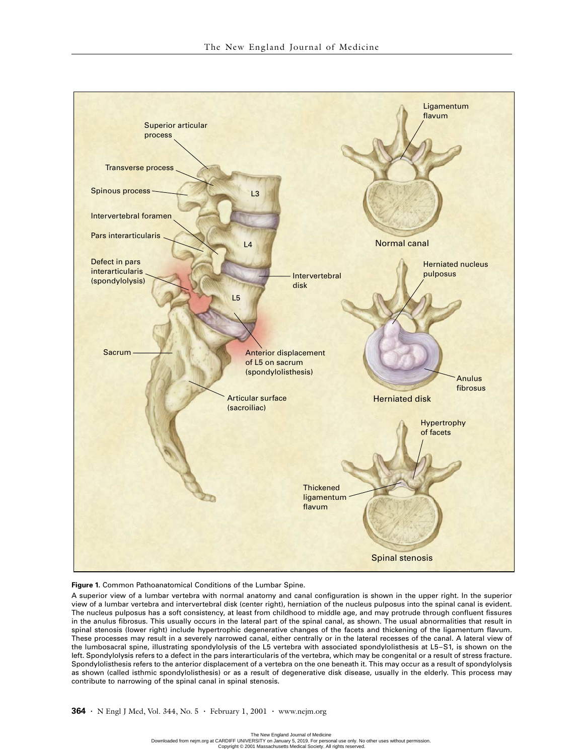

**Figure 1.** Common Pathoanatomical Conditions of the Lumbar Spine.

A superior view of a lumbar vertebra with normal anatomy and canal configuration is shown in the upper right. In the superior view of a lumbar vertebra and intervertebral disk (center right), herniation of the nucleus pulposus into the spinal canal is evident. The nucleus pulposus has a soft consistency, at least from childhood to middle age, and may protrude through confluent fissures in the anulus fibrosus. This usually occurs in the lateral part of the spinal canal, as shown. The usual abnormalities that result in spinal stenosis (lower right) include hypertrophic degenerative changes of the facets and thickening of the ligamentum flavum. These processes may result in a severely narrowed canal, either centrally or in the lateral recesses of the canal. A lateral view of the lumbosacral spine, illustrating spondylolysis of the L5 vertebra with associated spondylolisthesis at L5–S1, is shown on the left. Spondylolysis refers to a defect in the pars interarticularis of the vertebra, which may be congenital or a result of stress fracture. Spondylolisthesis refers to the anterior displacement of a vertebra on the one beneath it. This may occur as a result of spondylolysis as shown (called isthmic spondylolisthesis) or as a result of degenerative disk disease, usually in the elderly. This process may contribute to narrowing of the spinal canal in spinal stenosis.

**364 ·** N Engl J Med, Vol. 344, No. 5 **·** February 1, 2001 **·** www.nejm.org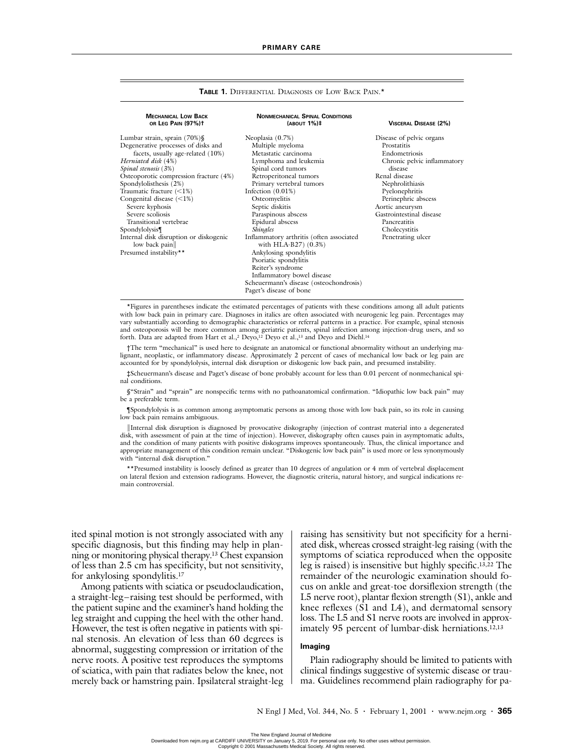| <b>MECHANICAL LOW BACK</b><br>OR LEG PAIN (97%) <sup>+</sup>                      | <b>NONMECHANICAL SPINAL CONDITIONS</b><br>(ABOUT 1%)#                                                                                                                                                                                        | VISCERAL DISEASE (2%)       |  |  |
|-----------------------------------------------------------------------------------|----------------------------------------------------------------------------------------------------------------------------------------------------------------------------------------------------------------------------------------------|-----------------------------|--|--|
| Lumbar strain, sprain (70%)§                                                      | Neoplasia (0.7%)                                                                                                                                                                                                                             | Disease of pelvic organs    |  |  |
| Degenerative processes of disks and                                               | Multiple myeloma                                                                                                                                                                                                                             | Prostatitis                 |  |  |
| facets, usually age-related (10%)                                                 | Metastatic carcinoma                                                                                                                                                                                                                         | Endometriosis               |  |  |
| Herniated disk (4%)                                                               | Lymphoma and leukemia                                                                                                                                                                                                                        | Chronic pelvic inflammatory |  |  |
| Spinal stenosis (3%)                                                              | Spinal cord tumors                                                                                                                                                                                                                           | disease                     |  |  |
| Osteoporotic compression fracture (4%)                                            | Retroperitoneal tumors                                                                                                                                                                                                                       | Renal disease               |  |  |
| Spondylolisthesis (2%)                                                            | Primary vertebral tumors                                                                                                                                                                                                                     | Nephrolithiasis             |  |  |
| Traumatic fracture $(\leq 1\%)$                                                   | Infection $(0.01\%)$                                                                                                                                                                                                                         | Pyelonephritis              |  |  |
| Congenital disease $(\leq 1\%)$                                                   | Osteomyelitis                                                                                                                                                                                                                                | Perinephric abscess         |  |  |
| Severe kyphosis                                                                   | Septic diskitis                                                                                                                                                                                                                              | Aortic aneurysm             |  |  |
| Severe scoliosis                                                                  | Paraspinous abscess                                                                                                                                                                                                                          | Gastrointestinal disease    |  |  |
| Transitional vertebrae                                                            | Epidural abscess                                                                                                                                                                                                                             | Pancreatitis                |  |  |
| Spondylolysis                                                                     | <i><b>Shingles</b></i>                                                                                                                                                                                                                       | Cholecystitis               |  |  |
| Internal disk disruption or diskogenic<br>low back pain<br>Presumed instability** | Inflammatory arthritis (often associated<br>with HLA-B27) (0.3%)<br>Ankylosing spondylitis<br>Psoriatic spondylitis<br>Reiter's syndrome<br>Inflammatory bowel disease<br>Scheuermann's disease (osteochondrosis)<br>Paget's disease of bone | Penetrating ulcer           |  |  |

**TABLE 1.** DIFFERENTIAL DIAGNOSIS OF LOW BACK PAIN.\*

#### \*Figures in parentheses indicate the estimated percentages of patients with these conditions among all adult patients with low back pain in primary care. Diagnoses in italics are often associated with neurogenic leg pain. Percentages may vary substantially according to demographic characteristics or referral patterns in a practice. For example, spinal stenosis and osteoporosis will be more common among geriatric patients, spinal infection among injection-drug users, and so forth. Data are adapted from Hart et al.,<sup>2</sup> Deyo,<sup>12</sup> Deyo et al.,<sup>13</sup> and Deyo and Diehl.<sup>14</sup>

†The term "mechanical" is used here to designate an anatomical or functional abnormality without an underlying malignant, neoplastic, or inflammatory disease. Approximately 2 percent of cases of mechanical low back or leg pain are accounted for by spondylolysis, internal disk disruption or diskogenic low back pain, and presumed instability.

‡Scheuermann's disease and Paget's disease of bone probably account for less than 0.01 percent of nonmechanical spinal conditions.

§"Strain" and "sprain" are nonspecific terms with no pathoanatomical confirmation. "Idiopathic low back pain" may be a preferable term.

¶Spondylolysis is as common among asymptomatic persons as among those with low back pain, so its role in causing low back pain remains ambiguous.

¿Internal disk disruption is diagnosed by provocative diskography (injection of contrast material into a degenerated disk, with assessment of pain at the time of injection). However, diskography often causes pain in asymptomatic adults, and the condition of many patients with positive diskograms improves spontaneously. Thus, the clinical importance and appropriate management of this condition remain unclear. "Diskogenic low back pain" is used more or less synonymously with "internal disk disruption."

\*\*Presumed instability is loosely defined as greater than 10 degrees of angulation or 4 mm of vertebral displacement on lateral flexion and extension radiograms. However, the diagnostic criteria, natural history, and surgical indications remain controversial.

ited spinal motion is not strongly associated with any specific diagnosis, but this finding may help in planning or monitoring physical therapy.13 Chest expansion of less than 2.5 cm has specificity, but not sensitivity, for ankylosing spondylitis.17

Among patients with sciatica or pseudoclaudication, a straight-leg–raising test should be performed, with the patient supine and the examiner's hand holding the leg straight and cupping the heel with the other hand. However, the test is often negative in patients with spinal stenosis. An elevation of less than 60 degrees is abnormal, suggesting compression or irritation of the nerve roots. A positive test reproduces the symptoms of sciatica, with pain that radiates below the knee, not merely back or hamstring pain. Ipsilateral straight-leg raising has sensitivity but not specificity for a herniated disk, whereas crossed straight-leg raising (with the symptoms of sciatica reproduced when the opposite leg is raised) is insensitive but highly specific.13,22 The remainder of the neurologic examination should focus on ankle and great-toe dorsiflexion strength (the L5 nerve root), plantar flexion strength (S1), ankle and knee reflexes  $(S1$  and  $L4$ ), and dermatomal sensory loss. The L5 and S1 nerve roots are involved in approximately 95 percent of lumbar-disk herniations.12,13

# **Imaging**

Plain radiography should be limited to patients with clinical findings suggestive of systemic disease or trauma. Guidelines recommend plain radiography for pa-

The New England Journal of Medicine<br>Downloaded from nejm.org at CARDIFF UNIVERSITY on January 5, 2019. For personal use only. No other uses without permission.<br>Copyright © 2001 Massachusetts Medical Society. All rights re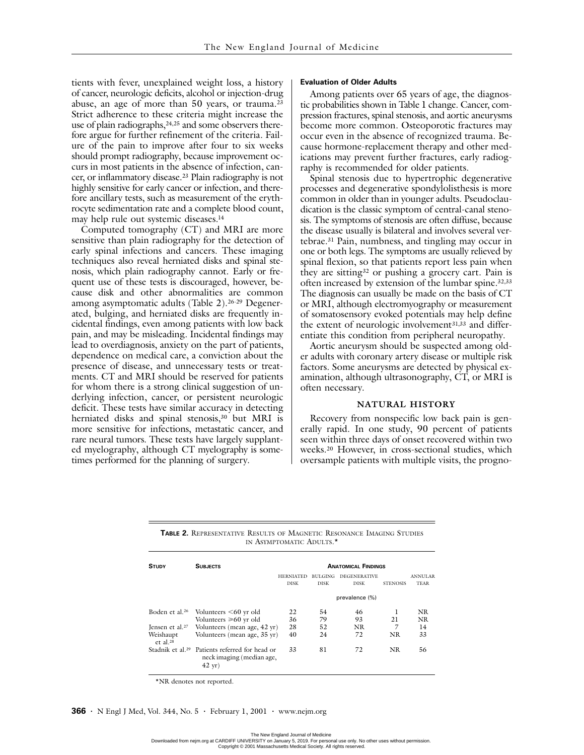tients with fever, unexplained weight loss, a history of cancer, neurologic deficits, alcohol or injection-drug abuse, an age of more than 50 years, or trauma.<sup>23</sup> Strict adherence to these criteria might increase the use of plain radiographs, <sup>24, 25</sup> and some observers therefore argue for further refinement of the criteria. Failure of the pain to improve after four to six weeks should prompt radiography, because improvement occurs in most patients in the absence of infection, cancer, or inflammatory disease.23 Plain radiography is not highly sensitive for early cancer or infection, and therefore ancillary tests, such as measurement of the erythrocyte sedimentation rate and a complete blood count, may help rule out systemic diseases.14

Computed tomography (CT) and MRI are more sensitive than plain radiography for the detection of early spinal infections and cancers. These imaging techniques also reveal herniated disks and spinal stenosis, which plain radiography cannot. Early or frequent use of these tests is discouraged, however, because disk and other abnormalities are common among asymptomatic adults (Table 2).26-29 Degenerated, bulging, and herniated disks are frequently incidental findings, even among patients with low back pain, and may be misleading. Incidental findings may lead to overdiagnosis, anxiety on the part of patients, dependence on medical care, a conviction about the presence of disease, and unnecessary tests or treatments. CT and MRI should be reserved for patients for whom there is a strong clinical suggestion of underlying infection, cancer, or persistent neurologic deficit. These tests have similar accuracy in detecting herniated disks and spinal stenosis,<sup>30</sup> but MRI is more sensitive for infections, metastatic cancer, and rare neural tumors. These tests have largely supplanted myelography, although CT myelography is sometimes performed for the planning of surgery.

### **Evaluation of Older Adults**

Among patients over 65 years of age, the diagnostic probabilities shown in Table 1 change. Cancer, compression fractures, spinal stenosis, and aortic aneurysms become more common. Osteoporotic fractures may occur even in the absence of recognized trauma. Because hormone-replacement therapy and other medications may prevent further fractures, early radiography is recommended for older patients.

Spinal stenosis due to hypertrophic degenerative processes and degenerative spondylolisthesis is more common in older than in younger adults. Pseudoclaudication is the classic symptom of central-canal stenosis. The symptoms of stenosis are often diffuse, because the disease usually is bilateral and involves several vertebrae.31 Pain, numbness, and tingling may occur in one or both legs. The symptoms are usually relieved by spinal flexion, so that patients report less pain when they are sitting32 or pushing a grocery cart. Pain is often increased by extension of the lumbar spine.32,33 The diagnosis can usually be made on the basis of CT or MRI, although electromyography or measurement of somatosensory evoked potentials may help define the extent of neurologic involvement<sup>31,33</sup> and differentiate this condition from peripheral neuropathy.

Aortic aneurysm should be suspected among older adults with coronary artery disease or multiple risk factors. Some aneurysms are detected by physical examination, although ultrasonography, CT, or MRI is often necessary.

## **NATURAL HISTORY**

Recovery from nonspecific low back pain is generally rapid. In one study, 90 percent of patients seen within three days of onset recovered within two weeks.20 However, in cross-sectional studies, which oversample patients with multiple visits, the progno-

**TABLE 2.** REPRESENTATIVE RESULTS OF MAGNETIC RESONANCE IMAGING STUDIES IN ASYMPTOMATIC ADULTS.\*

| <b>STUDY</b>                        | <b>SUBJECTS</b>                                                                                              | <b>ANATOMICAL FINDINGS</b>      |                               |                                    |                 |                        |
|-------------------------------------|--------------------------------------------------------------------------------------------------------------|---------------------------------|-------------------------------|------------------------------------|-----------------|------------------------|
|                                     |                                                                                                              | <b>HERNIATED</b><br><b>DISK</b> | <b>BULGING</b><br><b>DISK</b> | <b>DEGENERATIVE</b><br><b>DISK</b> | <b>STENOSIS</b> | ANNULAR<br><b>TEAR</b> |
|                                     |                                                                                                              | prevalence (%)                  |                               |                                    |                 |                        |
| Boden et al. <sup>26</sup>          | Volunteers $\leq 60$ yr old                                                                                  | 22                              | 54                            | 46                                 | 1               | NR                     |
|                                     | Volunteers $\geq 60$ yr old                                                                                  | 36                              | 79                            | 93                                 | 21              | <b>NR</b>              |
| Jensen et al. <sup>27</sup>         | Volunteers (mean age, 42 yr)                                                                                 | 28                              | 52                            | NR.                                | 7               | 14                     |
| Weishaupt<br>$et$ al. <sup>28</sup> | Volunteers (mean age, 35 yr)                                                                                 | 40                              | 24                            | 72                                 | <b>NR</b>       | 33                     |
|                                     | Stadnik et al. <sup>29</sup> Patients referred for head or<br>neck imaging (median age,<br>$42 \text{ yr}$ ) | 33                              | 81                            | 72                                 | NR              | 56                     |

\*NR denotes not reported.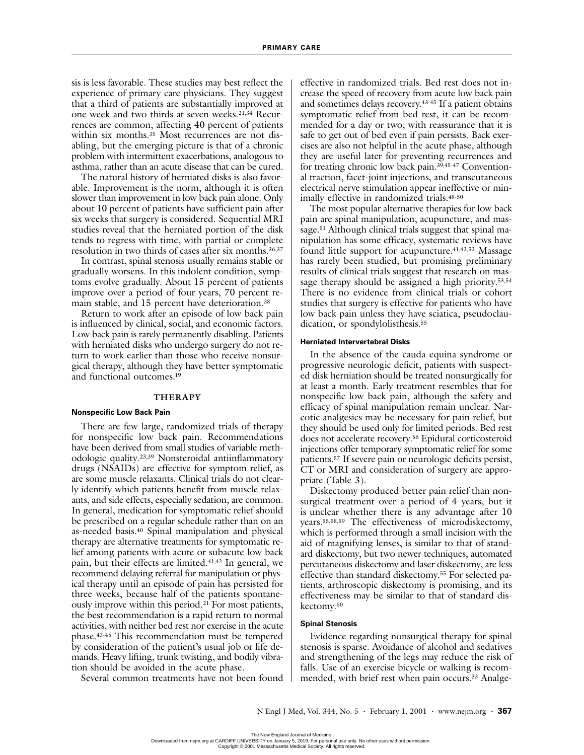sis is less favorable. These studies may best reflect the experience of primary care physicians. They suggest that a third of patients are substantially improved at one week and two thirds at seven weeks.21,34 Recurrences are common, affecting 40 percent of patients within six months.<sup>35</sup> Most recurrences are not disabling, but the emerging picture is that of a chronic problem with intermittent exacerbations, analogous to asthma, rather than an acute disease that can be cured.

The natural history of herniated disks is also favorable. Improvement is the norm, although it is often slower than improvement in low back pain alone. Only about 10 percent of patients have sufficient pain after six weeks that surgery is considered. Sequential MRI studies reveal that the herniated portion of the disk tends to regress with time, with partial or complete resolution in two thirds of cases after six months.36,37

In contrast, spinal stenosis usually remains stable or gradually worsens. In this indolent condition, symptoms evolve gradually. About 15 percent of patients improve over a period of four years, 70 percent remain stable, and 15 percent have deterioration.38

Return to work after an episode of low back pain is influenced by clinical, social, and economic factors. Low back pain is rarely permanently disabling. Patients with herniated disks who undergo surgery do not return to work earlier than those who receive nonsurgical therapy, although they have better symptomatic and functional outcomes.19

# **THERAPY**

### **Nonspecific Low Back Pain**

There are few large, randomized trials of therapy for nonspecific low back pain. Recommendations have been derived from small studies of variable methodologic quality.23,39 Nonsteroidal antiinflammatory drugs (NSAIDs) are effective for symptom relief, as are some muscle relaxants. Clinical trials do not clearly identify which patients benefit from muscle relaxants, and side effects, especially sedation, are common. In general, medication for symptomatic relief should be prescribed on a regular schedule rather than on an as-needed basis.40 Spinal manipulation and physical therapy are alternative treatments for symptomatic relief among patients with acute or subacute low back pain, but their effects are limited.41,42 In general, we recommend delaying referral for manipulation or physical therapy until an episode of pain has persisted for three weeks, because half of the patients spontaneously improve within this period.21 For most patients, the best recommendation is a rapid return to normal activities, with neither bed rest nor exercise in the acute phase.43-45 This recommendation must be tempered by consideration of the patient's usual job or life demands. Heavy lifting, trunk twisting, and bodily vibration should be avoided in the acute phase.

Several common treatments have not been found

effective in randomized trials. Bed rest does not increase the speed of recovery from acute low back pain and sometimes delays recovery.43-45 If a patient obtains symptomatic relief from bed rest, it can be recommended for a day or two, with reassurance that it is safe to get out of bed even if pain persists. Back exercises are also not helpful in the acute phase, although they are useful later for preventing recurrences and for treating chronic low back pain.39,45-47 Conventional traction, facet-joint injections, and transcutaneous electrical nerve stimulation appear ineffective or minimally effective in randomized trials.<sup>48-50</sup>

The most popular alternative therapies for low back pain are spinal manipulation, acupuncture, and massage.51 Although clinical trials suggest that spinal manipulation has some efficacy, systematic reviews have found little support for acupuncture.<sup>41,42,52</sup> Massage has rarely been studied, but promising preliminary results of clinical trials suggest that research on massage therapy should be assigned a high priority.53,54 There is no evidence from clinical trials or cohort studies that surgery is effective for patients who have low back pain unless they have sciatica, pseudoclaudication, or spondylolisthesis.<sup>55</sup>

## **Herniated Intervertebral Disks**

In the absence of the cauda equina syndrome or progressive neurologic deficit, patients with suspected disk herniation should be treated nonsurgically for at least a month. Early treatment resembles that for nonspecific low back pain, although the safety and efficacy of spinal manipulation remain unclear. Narcotic analgesics may be necessary for pain relief, but they should be used only for limited periods. Bed rest does not accelerate recovery.56 Epidural corticosteroid injections offer temporary symptomatic relief for some patients.57 If severe pain or neurologic deficits persist, CT or MRI and consideration of surgery are appropriate (Table 3).

Diskectomy produced better pain relief than nonsurgical treatment over a period of 4 years, but it is unclear whether there is any advantage after 10 years.55,58,59 The effectiveness of microdiskectomy, which is performed through a small incision with the aid of magnifying lenses, is similar to that of standard diskectomy, but two newer techniques, automated percutaneous diskectomy and laser diskectomy, are less effective than standard diskectomy.55 For selected patients, arthroscopic diskectomy is promising, and its effectiveness may be similar to that of standard diskectomy.60

## **Spinal Stenosis**

Evidence regarding nonsurgical therapy for spinal stenosis is sparse. Avoidance of alcohol and sedatives and strengthening of the legs may reduce the risk of falls. Use of an exercise bicycle or walking is recommended, with brief rest when pain occurs.<sup>33</sup> Analge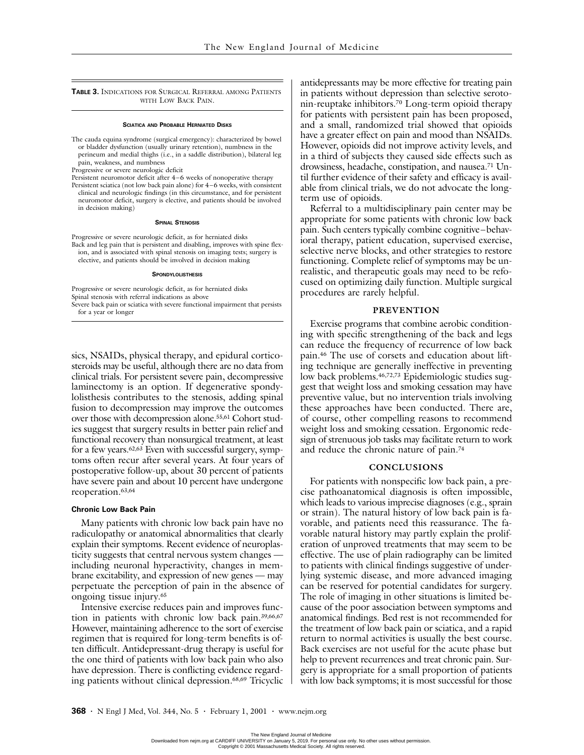**TABLE 3.** INDICATIONS FOR SURGICAL REFERRAL AMONG PATIENTS WITH LOW BACK PAIN.

#### **SCIATICA AND PROBABLE HERNIATED DISKS**

The cauda equina syndrome (surgical emergency): characterized by bowel or bladder dysfunction (usually urinary retention), numbness in the perineum and medial thighs (i.e., in a saddle distribution), bilateral leg

pain, weakness, and numbness

Progressive or severe neurologic deficit

Persistent neuromotor deficit after 4–6 weeks of nonoperative therapy Persistent sciatica (not low back pain alone) for 4–6 weeks, with consistent clinical and neurologic findings (in this circumstance, and for persistent neuromotor deficit, surgery is elective, and patients should be involved in decision making)

#### **SPINAL STENOSIS**

Progressive or severe neurologic deficit, as for herniated disks

Back and leg pain that is persistent and disabling, improves with spine flexion, and is associated with spinal stenosis on imaging tests; surgery is elective, and patients should be involved in decision making

#### **SPONDYLOLISTHESIS**

Progressive or severe neurologic deficit, as for herniated disks Spinal stenosis with referral indications as above Severe back pain or sciatica with severe functional impairment that persists for a year or longer

sics, NSAIDs, physical therapy, and epidural corticosteroids may be useful, although there are no data from clinical trials. For persistent severe pain, decompressive laminectomy is an option. If degenerative spondylolisthesis contributes to the stenosis, adding spinal fusion to decompression may improve the outcomes over those with decompression alone.55,61 Cohort studies suggest that surgery results in better pain relief and functional recovery than nonsurgical treatment, at least for a few years.<sup>62,63</sup> Even with successful surgery, symptoms often recur after several years. At four years of postoperative follow-up, about 30 percent of patients have severe pain and about 10 percent have undergone reoperation.63,64

## **Chronic Low Back Pain**

Many patients with chronic low back pain have no radiculopathy or anatomical abnormalities that clearly explain their symptoms. Recent evidence of neuroplasticity suggests that central nervous system changes including neuronal hyperactivity, changes in membrane excitability, and expression of new genes — may perpetuate the perception of pain in the absence of ongoing tissue injury.65

Intensive exercise reduces pain and improves function in patients with chronic low back pain.39,66,67 However, maintaining adherence to the sort of exercise regimen that is required for long-term benefits is often difficult. Antidepressant-drug therapy is useful for the one third of patients with low back pain who also have depression. There is conflicting evidence regarding patients without clinical depression.68,69 Tricyclic antidepressants may be more effective for treating pain in patients without depression than selective serotonin-reuptake inhibitors.70 Long-term opioid therapy for patients with persistent pain has been proposed, and a small, randomized trial showed that opioids have a greater effect on pain and mood than NSAIDs. However, opioids did not improve activity levels, and in a third of subjects they caused side effects such as drowsiness, headache, constipation, and nausea.71 Until further evidence of their safety and efficacy is available from clinical trials, we do not advocate the longterm use of opioids.

Referral to a multidisciplinary pain center may be appropriate for some patients with chronic low back pain. Such centers typically combine cognitive–behavioral therapy, patient education, supervised exercise, selective nerve blocks, and other strategies to restore functioning. Complete relief of symptoms may be unrealistic, and therapeutic goals may need to be refocused on optimizing daily function. Multiple surgical procedures are rarely helpful.

# **PREVENTION**

Exercise programs that combine aerobic conditioning with specific strengthening of the back and legs can reduce the frequency of recurrence of low back pain.46 The use of corsets and education about lifting technique are generally ineffective in preventing low back problems.<sup>46,72,73</sup> Epidemiologic studies suggest that weight loss and smoking cessation may have preventive value, but no intervention trials involving these approaches have been conducted. There are, of course, other compelling reasons to recommend weight loss and smoking cessation. Ergonomic redesign of strenuous job tasks may facilitate return to work and reduce the chronic nature of pain.74

## **CONCLUSIONS**

For patients with nonspecific low back pain, a precise pathoanatomical diagnosis is often impossible, which leads to various imprecise diagnoses (e.g., sprain or strain). The natural history of low back pain is favorable, and patients need this reassurance. The favorable natural history may partly explain the proliferation of unproved treatments that may seem to be effective. The use of plain radiography can be limited to patients with clinical findings suggestive of underlying systemic disease, and more advanced imaging can be reserved for potential candidates for surgery. The role of imaging in other situations is limited because of the poor association between symptoms and anatomical findings. Bed rest is not recommended for the treatment of low back pain or sciatica, and a rapid return to normal activities is usually the best course. Back exercises are not useful for the acute phase but help to prevent recurrences and treat chronic pain. Surgery is appropriate for a small proportion of patients with low back symptoms; it is most successful for those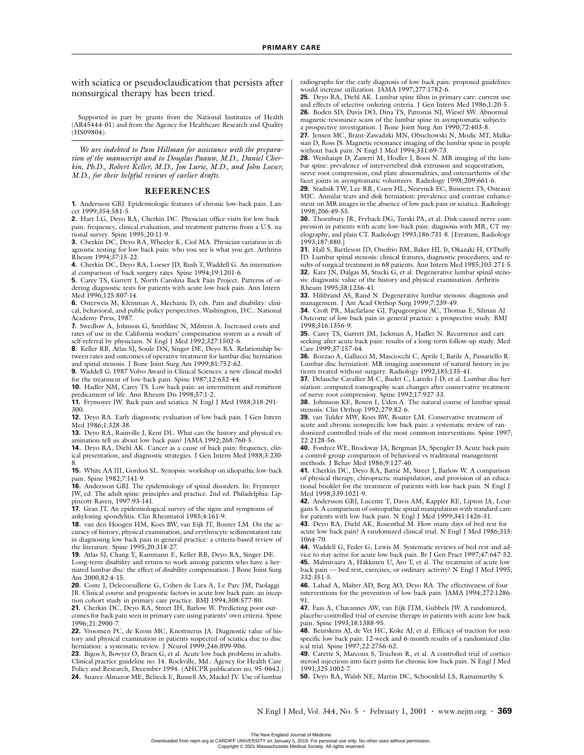with sciatica or pseudoclaudication that persists after nonsurgical therapy has been tried.

Supported in part by grants from the National Institutes of Health (AR45444-01) and from the Agency for Healthcare Research and Quality (HS09804).

*We are indebted to Pam Hillman for assistance with the preparation of the manuscript and to Douglas Paauw, M.D., Daniel Cherkin, Ph.D., Robert Keller, M.D., Jon Lurie, M.D., and John Loeser, M.D., for their helpful reviews of earlier drafts.*

### **REFERENCES**

**1.** Andersson GBJ. Epidemiologic features of chronic low-back pain. Lancet 1999;354:581-5.

**2.** Hart LG, Deyo RA, Cherkin DC. Physician office visits for low back pain: frequency, clinical evaluation, and treatment patterns from a U.S. national survey. Spine 1995;20:11-9.

**3.** Cherkin DC, Deyo RA, Wheeler K, Ciol MA. Physician variation in diagnostic testing for low back pain: who you see is what you get. Arthritis Rheum 1994;37:15-22.

**4.** Cherkin DC, Deyo RA, Loeser JD, Bush T, Waddell G. An international comparison of back surgery rates. Spine 1994;19:1201-6.

**5.** Carey TS, Garrett J, North Carolina Back Pain Project. Patterns of ordering diagnostic tests for patients with acute low back pain. Ann Intern Med 1996;125:807-14.

**6.** Osterweis M, Kleinman A, Mechanic D, eds. Pain and disability: clinical, behavioral, and public policy perspectives. Washington, D.C.: National Academy Press, 1987.

**7.** Swedlow A, Johnson G, Smithline N, Milstein A. Increased costs and rates of use in the California workers' compensation system as a result of self-referral by physicians. N Engl J Med 1992;327:1502-6.

**8.** Keller RB, Atlas SJ, Soule DN, Singer DE, Deyo RA. Relationship between rates and outcomes of operative treatment for lumbar disc herniation and spinal stenosis. J Bone Joint Surg Am 1999;81:752-62.

**9.** Waddell G. 1987 Volvo Award in Clinical Sciences: a new clinical model for the treatment of low-back pain. Spine 1987;12:632-44.

**10.** Hadler NM, Carey TS. Low back pain: an intermittent and remittent predicament of life. Ann Rheum Dis 1998;57:1-2.

**11.** Frymoyer JW. Back pain and sciatica. N Engl J Med 1988;318:291- 300.

**12.** Deyo RA. Early diagnostic evaluation of low back pain. J Gen Intern Med 1986;1:328-38.

**13.** Deyo RA, Rainville J, Kent DL. What can the history and physical examination tell us about low back pain? JAMA 1992;268:760-5.

**14.** Deyo RA, Diehl AK. Cancer as a cause of back pain: frequency, clinical presentation, and diagnostic strategies. J Gen Intern Med 1988;3:230-8.

**15.** White AA III, Gordon SL. Synopsis: workshop on idiopathic low-back pain. Spine 1982;7:141-9.

**16.** Andersson GBJ. The epidemiology of spinal disorders. In: Frymoyer JW, ed. The adult spine: principles and practice. 2nd ed. Philadelphia: Lippincott-Raven, 1997:93-141.

**17.** Gran JT. An epidemiological survey of the signs and symptoms of ankylosing spondylitis. Clin Rheumatol 1985;4:161-9.

**18.** van den Hoogen HM, Koes BW, van Eijk JT, Bouter LM. On the accuracy of history, physical examination, and erythrocyte sedimentation rate in diagnosing low back pain in general practice: a criteria-based review of the literature. Spine 1995;20:318-27.

**19.** Atlas SJ, Chang Y, Kammann E, Keller RB, Deyo RA, Singer DE. Long-term disability and return to work among patients who have a herniated lumbar disc: the effect of disability compensation. J Bone Joint Surg Am 2000;82:4-15.

**20.** Coste J, Delecoeuillerie G, Cohen de Lara A, Le Parc JM, Paolaggi JB. Clinical course and prognostic factors in acute low back pain: an inception cohort study in primary care practice. BMJ 1994;308:577-80.

**21.** Cherkin DC, Deyo RA, Street JH, Barlow W. Predicting poor outcomes for back pain seen in primary care using patients' own criteria. Spine 1996;21:2900-7.

**22.** Vroomen PC, de Krom MC, Knottnerus JA. Diagnostic value of history and physical examination in patients suspected of sciatica due to disc herniation: a systematic review. J Neurol 1999;246:899-906.

**23.** Bigos S, Bowyer O, Braen G, et al. Acute low back problems in adults. Clinical practice guideline no. 14. Rockville, Md.: Agency for Health Care Policy and Research, December 1994. (AHCPR publication no. 95-0642.) **24.** Suarez-Almazor ME, Belseck E, Russell AS, Mackel JV. Use of lumbar radiographs for the early diagnosis of low back pain: proposed guidelines would increase utilization. JAMA 1997;277:1782-6.

**25.** Deyo RA, Diehl AK. Lumbar spine films in primary care: current use and effects of selective ordering criteria. J Gen Intern Med 1986;1:20-5. **26.** Boden SD, Davis DO, Dina TS, Patronas NJ, Wiesel SW. Abnormal magnetic-resonance scans of the lumbar spine in asymptomatic subjects: a prospective investigation. J Bone Joint Surg Am 1990;72:403-8.

**27.** Jensen MC, Brant-Zawadzki MN, Obuchowski N, Modic MT, Malkasian D, Ross JS. Magnetic resonance imaging of the lumbar spine in people without back pain. N Engl J Med 1994;331:69-73.

**28.** Weishaupt D, Zanetti M, Hodler J, Boos N. MR imaging of the lumbar spine: prevalence of intervertebral disk extrusion and sequestration, nerve root compression, end plate abnormalities, and osteoarthritis of the facet joints in asymptomatic volunteers. Radiology 1998;209:661-6.

**29.** Stadnik TW, Lee RR, Coen HL, Neirynck EC, Buisseret TS, Osteaux MJC. Annular tears and disk herniation: prevalence and contrast enhancement on MR images in the absence of low pack pain or sciatica. Radiology 1998;206:49-55.

**30.** Thornbury JR, Fryback DG, Turski PA, et al. Disk-caused nerve compression in patients with acute low-back pain: diagnosis with MR, CT myelography, and plain CT. Radiology 1993;186:731-8. [Erratum, Radiology 1993;187:880.]

**31.** Hall S, Bartleson JD, Onofrio BM, Baker HL Jr, Okazaki H, O'Duffy JD. Lumbar spinal stenosis: clinical features, diagnostic procedures, and re-

sults of surgical treatment in 68 patients. Ann Intern Med 1985;103:271-5. **32.** Katz JN, Dalgas M, Stucki G, et al. Degenerative lumbar spinal stenosis: diagnostic value of the history and physical examination. Arthritis Rheum 1995;38:1236-41.

**33.** Hilibrand AS, Rand N. Degenerative lumbar stenosis: diagnosis and management. J Am Acad Orthop Surg 1999;7:239-49.

**34.** Croft PR, Macfarlane GJ, Papageorgiou AC, Thomas E, Silman AJ. Outcome of low back pain in general practice: a prospective study. BMJ 1998;316:1356-9.

**35.** Carey TS, Garrett JM, Jackman A, Hadler N. Recurrence and care seeking after acute back pain: results of a long-term follow-up study. Med Care 1999;37:157-64.

**36.** Bozzao A, Gallucci M, Masciocchi C, Aprile I, Barile A, Passariello R. Lumbar disc herniation: MR imaging assessment of natural history in patients treated without surgery. Radiology 1992;185:135-41.

**37.** Delauche-Cavallier M-C, Budet C, Laredo J-D, et al. Lumbar disc herniation: computed tomography scan changes after conservative treatment of nerve root compression. Spine 1992;17:927-33.

**38.** Johnsson KE, Rosen I, Uden A. The natural course of lumbar spinal stenosis. Clin Orthop 1992;279:82-6.

**39.** van Tulder MW, Koes BW, Bouter LM. Conservative treatment of acute and chronic nonspecific low back pain: a systematic review of randomized controlled trials of the most common interventions. Spine 1997; 22:2128-56.

**40.** Fordyce WE, Brockway JA, Bergman JA, Spengler D. Acute back pain: a control-group comparison of behavioral vs traditional management methods. J Behav Med 1986;9:127-40.

**41.** Cherkin DC, Deyo RA, Battié M, Street J, Barlow W. A comparison of physical therapy, chiropractic manipulation, and provision of an educational booklet for the treatment of patients with low back pain. N Engl J Med 1998;339:1021-9.

**42.** Andersson GBJ, Lucente T, Davis AM, Kappler RE, Lipton JA, Leurgans S. A comparison of osteopathic spinal manipulation with standard care for patients with low back pain. N Engl J Med 1999;341:1426-31.

**43.** Deyo RA, Diehl AK, Rosenthal M. How many days of bed rest for acute low back pain? A randomized clinical trial. N Engl J Med 1986;315: 1064-70.

**44.** Waddell G, Feder G, Lewis M. Systematic reviews of bed rest and advice to stay active for acute low back pain. Br J Gen Pract 1997;47:647-52.

**45.** Malmivaara A, Häkkinen U, Aro T, et al. The treatment of acute low back pain — bed rest, exercises, or ordinary activity? N Engl J Med 1995; 332:351-5.

**46.** Lahad A, Malter AD, Berg AO, Deyo RA. The effectiveness of four interventions for the prevention of low back pain. JAMA 1994;272:1286- 91.

**47.** Faas A, Chavannes AW, van Eijk JTM, Gubbels JW. A randomized, placebo-controlled trial of exercise therapy in patients with acute low back pain. Spine 1993;18:1388-95.

**48.** Beurskens AJ, de Vet HC, Koke AJ, et al. Efficacy of traction for nonspecific low back pain: 12-week and 6-month results of a randomized clinical trial. Spine 1997;22:2756-62.

**49.** Carette S, Marcoux S, Truchon R, et al. A controlled trial of corticosteroid injections into facet joints for chronic low back pain. N Engl J Med 1991;325:1002-7.

**50.** Deyo RA, Walsh NE, Martin DC, Schoenfeld LS, Ramamurthy S.